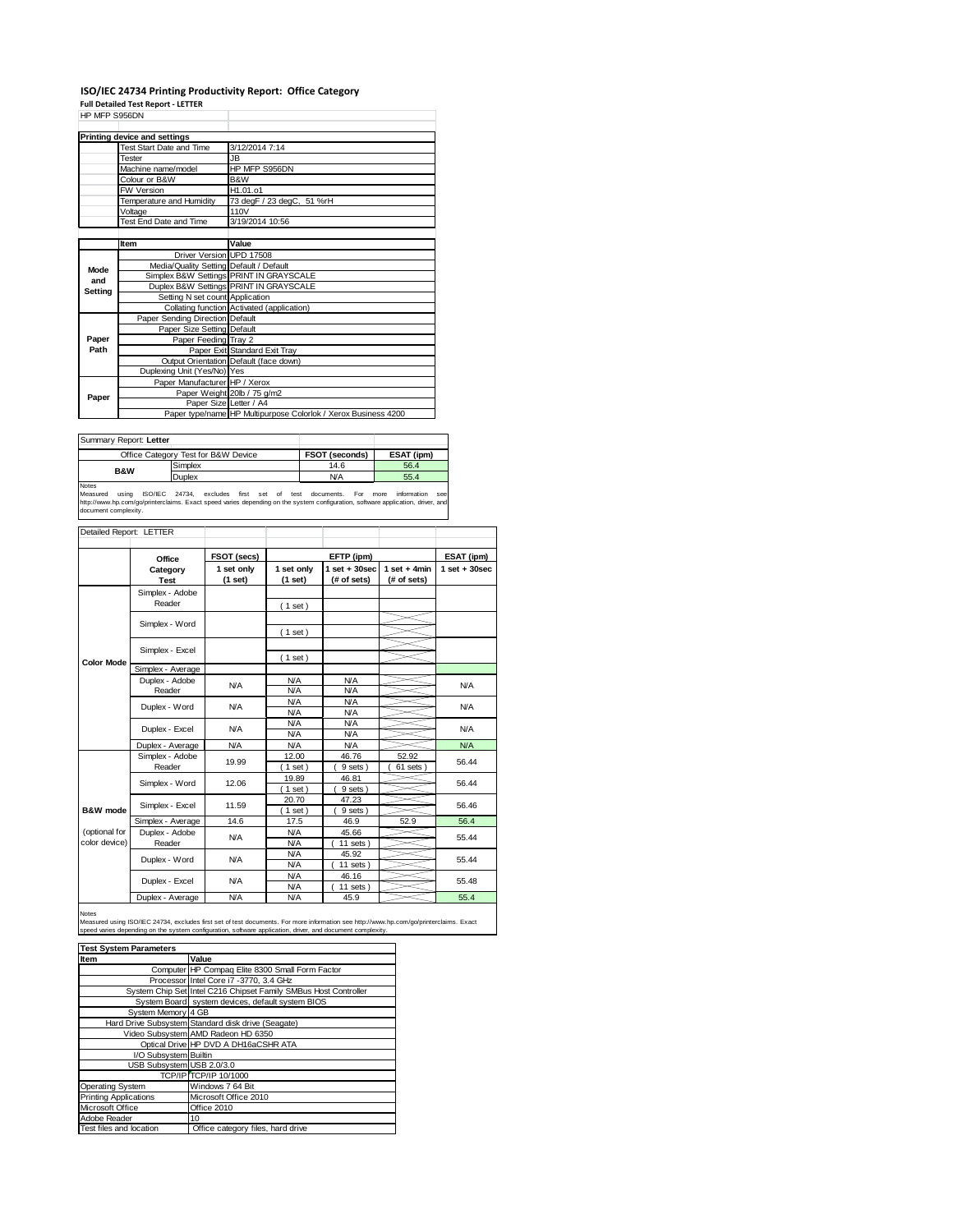## **ISO/IEC 24734 Printing Productivity Report: Office Category**

**Full Detailed Test Report ‐ LETTER** HP MFP S956DN

| <b>FIF IVIFF OUUUN</b> |                                         |                                                                |  |
|------------------------|-----------------------------------------|----------------------------------------------------------------|--|
|                        | <b>Printing device and settings</b>     |                                                                |  |
|                        | Test Start Date and Time                | 3/12/2014 7:14                                                 |  |
|                        | <b>Tester</b>                           | JB.                                                            |  |
|                        | Machine name/model                      | HP MFP S956DN                                                  |  |
|                        | Colour or B&W                           | B&W                                                            |  |
|                        | <b>FW Version</b>                       | H1.01.o1                                                       |  |
|                        | Temperature and Humidity                | 73 degF / 23 degC, 51 %rH                                      |  |
|                        | Voltage                                 | 110V                                                           |  |
|                        | Test End Date and Time                  | 3/19/2014 10:56                                                |  |
|                        |                                         |                                                                |  |
|                        | Item                                    | Value                                                          |  |
|                        | Driver Version UPD 17508                |                                                                |  |
| Mode                   | Media/Quality Setting Default / Default |                                                                |  |
| and                    |                                         | Simplex B&W Settings PRINT IN GRAYSCALE                        |  |
| Setting                |                                         | Duplex B&W Settings PRINT IN GRAYSCALE                         |  |
|                        | Setting N set count Application         |                                                                |  |
|                        |                                         | Collating function Activated (application)                     |  |
|                        | Paper Sending Direction Default         |                                                                |  |
|                        | Paper Size Setting Default              |                                                                |  |
| Paper                  | Paper Feeding Tray 2                    |                                                                |  |
| Path                   |                                         | Paper Exit Standard Exit Tray                                  |  |
|                        |                                         | Output Orientation Default (face down)                         |  |
|                        | Duplexing Unit (Yes/No) Yes             |                                                                |  |
|                        | Paper Manufacturer HP / Xerox           |                                                                |  |
| Paper                  |                                         | Paper Weight 20lb / 75 g/m2                                    |  |
|                        | Paper Size Letter / A4                  |                                                                |  |
|                        |                                         | Paper type/name HP Multipurpose Colorlok / Xerox Business 4200 |  |

| Summary Report: Letter |                                     |                       |            |
|------------------------|-------------------------------------|-----------------------|------------|
|                        | Office Category Test for B&W Device | <b>FSOT (seconds)</b> | ESAT (ipm) |
| <b>B&amp;W</b>         | Simplex                             | 14.6                  | 56.4       |
|                        | Duplex                              | <b>N/A</b>            | 55.4       |
| <b>Notae</b>           |                                     |                       |            |

Notes<br>Measured using ISO/IEC 24734, excludes first set of test documents. For more information see<br>http://www.hp.com/go/printerclaims.Exactspeed-varies-depending.on-the-system-configuration,software-application,driver,and<br>

| Detailed Report: LETTER        |                           |                       |                          |                                  |                               |                  |
|--------------------------------|---------------------------|-----------------------|--------------------------|----------------------------------|-------------------------------|------------------|
|                                | Office                    | FSOT (secs)           |                          | EFTP (ipm)                       |                               | ESAT (ipm)       |
|                                | Category<br><b>Test</b>   | 1 set only<br>(1 set) | 1 set only<br>(1 set)    | $1$ set $+30$ sec<br>(# of sets) | $1$ set + 4min<br>(# of sets) | $1 set + 30 sec$ |
|                                | Simplex - Adobe<br>Reader |                       | (1 set)                  |                                  |                               |                  |
|                                | Simplex - Word            |                       |                          |                                  |                               |                  |
|                                | Simplex - Excel           |                       | $1$ set)                 |                                  |                               |                  |
| <b>Color Mode</b>              | Simplex - Average         |                       | $1$ set)                 |                                  |                               |                  |
|                                | Duplex - Adobe<br>Reader  | N/A                   | <b>N/A</b><br>N/A        | N/A<br>N/A                       |                               | N/A              |
|                                | Duplex - Word             | <b>N/A</b>            | N/A<br>N/A               | <b>N/A</b><br><b>N/A</b>         |                               | N/A              |
|                                | Duplex - Excel            | <b>N/A</b>            | <b>N/A</b><br>N/A        | <b>N/A</b><br><b>N/A</b>         |                               | N/A              |
|                                | Duplex - Average          | <b>N/A</b>            | <b>N/A</b>               | <b>N/A</b>                       |                               | N/A              |
|                                | Simplex - Adobe<br>Reader | 19.99                 | 12.00<br>$1$ set         | 46.76<br>9 sets)                 | 52.92<br>61 sets              | 56.44            |
|                                | Simplex - Word            | 12.06                 | 19.89<br>$1$ set)        | 46.81<br>9 sets)                 |                               | 56.44            |
| B&W mode                       | Simplex - Excel           | 11.59                 | 20.70<br>$1$ set)        | 47.23<br>9 sets)                 |                               | 56.46            |
|                                | Simplex - Average         | 14.6                  | 17.5                     | 46.9                             | 52.9                          | 56.4             |
| (optional for<br>color device) | Duplex - Adobe<br>Reader  | <b>N/A</b>            | <b>N/A</b><br><b>N/A</b> | 45.66<br>$11$ sets $)$           |                               | 55.44            |
|                                | Duplex - Word             | N/A                   | <b>N/A</b><br><b>N/A</b> | 45.92<br>$11$ sets)              |                               | 55.44            |
|                                | Duplex - Excel            | <b>N/A</b>            | <b>N/A</b><br><b>N/A</b> | 46.16<br>11 sets $)$             |                               | 55.48            |
|                                | Duplex - Average          | N/A                   | N/A                      | 45.9                             |                               | 55.4             |

Notes

Measured using ISO/IEC 24734, excludes first set of test documents. For more information see http://www.hp.com/go/printerclaims. Exact<br>speed varies depending on the system configuration, software application, driver, and d

| <b>Test System Parameters</b> |                                                                 |  |  |  |
|-------------------------------|-----------------------------------------------------------------|--|--|--|
| Item                          | Value                                                           |  |  |  |
|                               | Computer HP Compaq Elite 8300 Small Form Factor                 |  |  |  |
|                               | Processor Intel Core i7 -3770, 3.4 GHz                          |  |  |  |
|                               | System Chip Set Intel C216 Chipset Family SMBus Host Controller |  |  |  |
|                               | System Board system devices, default system BIOS                |  |  |  |
| System Memory 4 GB            |                                                                 |  |  |  |
|                               | Hard Drive Subsystem Standard disk drive (Seagate)              |  |  |  |
|                               | Video Subsystem AMD Radeon HD 6350                              |  |  |  |
|                               | Optical Drive HP DVD A DH16aCSHR ATA                            |  |  |  |
| I/O Subsystem Builtin         |                                                                 |  |  |  |
| USB Subsystem USB 2.0/3.0     |                                                                 |  |  |  |
|                               | TCP/IP TCP/IP 10/1000                                           |  |  |  |
| <b>Operating System</b>       | Windows 7 64 Bit                                                |  |  |  |
| <b>Printing Applications</b>  | Microsoft Office 2010                                           |  |  |  |
| Microsoft Office              | Office 2010                                                     |  |  |  |
| Adobe Reader                  | 10                                                              |  |  |  |
| Test files and location       | Office category files, hard drive                               |  |  |  |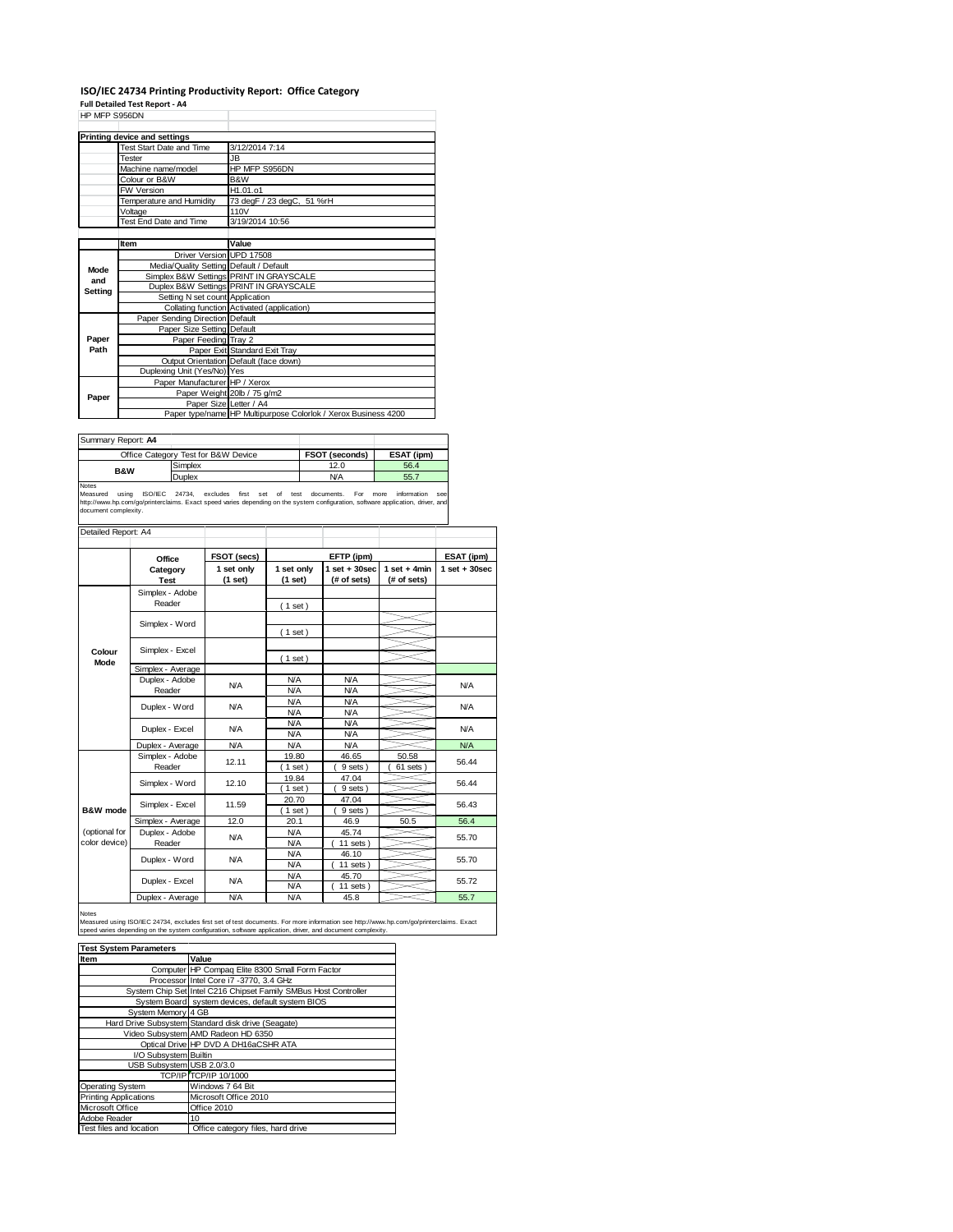## **ISO/IEC 24734 Printing Productivity Report: Office Category**

**Full Detailed Test Report ‐ A4** HP MFP S956DN

| ULLE SASONIA |                                         |                                                                |  |
|--------------|-----------------------------------------|----------------------------------------------------------------|--|
|              | <b>Printing device and settings</b>     |                                                                |  |
|              | Test Start Date and Time                | 3/12/2014 7:14                                                 |  |
|              | Tester                                  | JB.                                                            |  |
|              | Machine name/model                      | HP MFP S956DN                                                  |  |
|              | Colour or B&W                           | B&W                                                            |  |
|              | <b>FW Version</b>                       | H1.01.o1                                                       |  |
|              | Temperature and Humidity                | 73 degF / 23 degC, 51 %rH                                      |  |
|              | Voltage                                 | 110V                                                           |  |
|              | Test End Date and Time                  | 3/19/2014 10:56                                                |  |
|              |                                         |                                                                |  |
|              | Item                                    | Value                                                          |  |
|              | Driver Version UPD 17508                |                                                                |  |
| Mode         | Media/Quality Setting Default / Default |                                                                |  |
| and          |                                         | Simplex B&W Settings PRINT IN GRAYSCALE                        |  |
| Setting      |                                         | Duplex B&W Settings PRINT IN GRAYSCALE                         |  |
|              | Setting N set count Application         |                                                                |  |
|              |                                         | Collating function Activated (application)                     |  |
|              | Paper Sending Direction Default         |                                                                |  |
|              | Paper Size Setting Default              |                                                                |  |
| Paper        | Paper Feeding Tray 2                    |                                                                |  |
| Path         |                                         | Paper Exit Standard Exit Tray                                  |  |
|              |                                         | Output Orientation Default (face down)                         |  |
|              | Duplexing Unit (Yes/No) Yes             |                                                                |  |
|              | Paper Manufacturer HP / Xerox           |                                                                |  |
| Paper        |                                         | Paper Weight 20lb / 75 g/m2                                    |  |
|              |                                         | Paper Size Letter / A4                                         |  |
|              |                                         | Paper type/name HP Multipurpose Colorlok / Xerox Business 4200 |  |

| Summary Report: A4 |                                     |                       |            |
|--------------------|-------------------------------------|-----------------------|------------|
|                    | Office Category Test for B&W Device | <b>FSOT (seconds)</b> | ESAT (ipm) |
| <b>B&amp;W</b>     | Simplex                             | 12.0                  | 56.4       |
|                    | <b>Duplex</b>                       | <b>N/A</b>            | 55.7       |
| .                  |                                     |                       |            |

Notes<br>Measured using ISO/IEC 24734, excludes first set of test documents. For more information see<br>http://www.hp.com/go/printerclaims.Exactspeed-varies-depending.on-the-system-configuration,software-application,driver,and<br>

| Detailed Report: A4   |                           |                           |                          |                                 |                               |                   |  |
|-----------------------|---------------------------|---------------------------|--------------------------|---------------------------------|-------------------------------|-------------------|--|
|                       | Office                    | FSOT (secs)<br>EFTP (ipm) |                          |                                 | ESAT (ipm)                    |                   |  |
|                       | Category<br><b>Test</b>   | 1 set only<br>(1 set)     | 1 set only<br>(1 set)    | $1 set + 30 sec$<br>(# of sets) | $1$ set + 4min<br>(# of sets) | $1$ set $+30$ sec |  |
|                       | Simplex - Adobe<br>Reader |                           | (1 set)                  |                                 |                               |                   |  |
|                       | Simplex - Word            |                           |                          |                                 |                               |                   |  |
|                       |                           |                           | (1 set)                  |                                 |                               |                   |  |
| Colour<br><b>Mode</b> | Simplex - Excel           |                           | (1 set)                  |                                 |                               |                   |  |
|                       | Simplex - Average         |                           |                          |                                 |                               |                   |  |
|                       | Duplex - Adobe<br>Reader  | N/A                       | N/A<br>N/A               | <b>N/A</b><br>N/A               |                               | N/A               |  |
|                       | Duplex - Word             | <b>N/A</b>                | <b>N/A</b><br><b>N/A</b> | <b>N/A</b><br><b>N/A</b>        |                               | N/A               |  |
|                       |                           |                           | N/A                      | <b>N/A</b>                      |                               |                   |  |
|                       | Duplex - Excel            | <b>N/A</b>                | N/A                      | <b>N/A</b>                      |                               | N/A               |  |
|                       | Duplex - Average          | <b>N/A</b>                | <b>N/A</b>               | <b>N/A</b>                      |                               | N/A               |  |
|                       | Simplex - Adobe<br>Reader | 12.11                     | 19.80<br>$1$ set)        | 46.65<br>9 sets)                | 50.58<br>61 sets              | 56.44             |  |
|                       | Simplex - Word            | 12.10                     | 19.84                    | 47.04                           |                               | 56.44             |  |
|                       |                           |                           | $1$ set)                 | 9 sets)                         |                               |                   |  |
| B&W mode              | Simplex - Excel           | 11.59                     | 20.70<br>$1$ set)        | 47.04<br>9 sets)                |                               | 56.43             |  |
|                       | Simplex - Average         | 12.0                      | 20.1                     | 46.9                            | 50.5                          | 56.4              |  |
| (optional for         | Duplex - Adobe            |                           | N/A                      | 45.74                           |                               |                   |  |
| color device)         | Reader                    | N/A                       | <b>N/A</b>               | $11$ sets $)$                   |                               | 55.70             |  |
|                       |                           | <b>N/A</b>                | <b>N/A</b>               | 46.10                           |                               |                   |  |
|                       | Duplex - Word             |                           | <b>N/A</b>               | $11$ sets $)$                   |                               | 55.70             |  |
|                       | Duplex - Excel            | N/A                       | N/A                      | 45.70                           |                               | 55.72             |  |
|                       |                           |                           | <b>N/A</b>               | 11 sets $)$                     |                               |                   |  |
|                       | Duplex - Average          | <b>N/A</b>                | N/A                      | 45.8                            |                               | 55.7              |  |

Notes<br>Measured using ISO/IEC 24734, excludes first set of test documents. For more information see http://www.hp.com/go/printerclaims. Exact<br>speed varies depending on the system configuration, software application, driver,

| <b>Test System Parameters</b> |                                                                 |  |  |  |
|-------------------------------|-----------------------------------------------------------------|--|--|--|
| Item                          | Value                                                           |  |  |  |
|                               | Computer HP Compaq Elite 8300 Small Form Factor                 |  |  |  |
|                               | Processor Intel Core i7 -3770, 3.4 GHz                          |  |  |  |
|                               | System Chip Set Intel C216 Chipset Family SMBus Host Controller |  |  |  |
|                               | System Board system devices, default system BIOS                |  |  |  |
| System Memory 4 GB            |                                                                 |  |  |  |
|                               | Hard Drive Subsystem Standard disk drive (Seagate)              |  |  |  |
|                               | Video Subsystem AMD Radeon HD 6350                              |  |  |  |
|                               | Optical Drive HP DVD A DH16aCSHR ATA                            |  |  |  |
| I/O Subsystem Builtin         |                                                                 |  |  |  |
| USB Subsystem USB 2.0/3.0     |                                                                 |  |  |  |
|                               | <b>TCP/IP TCP/IP 10/1000</b>                                    |  |  |  |
| <b>Operating System</b>       | Windows 7 64 Bit                                                |  |  |  |
| <b>Printing Applications</b>  | Microsoft Office 2010                                           |  |  |  |
| Microsoft Office              | Office 2010                                                     |  |  |  |
| Adobe Reader                  | 10                                                              |  |  |  |
| Test files and location       | Office category files, hard drive                               |  |  |  |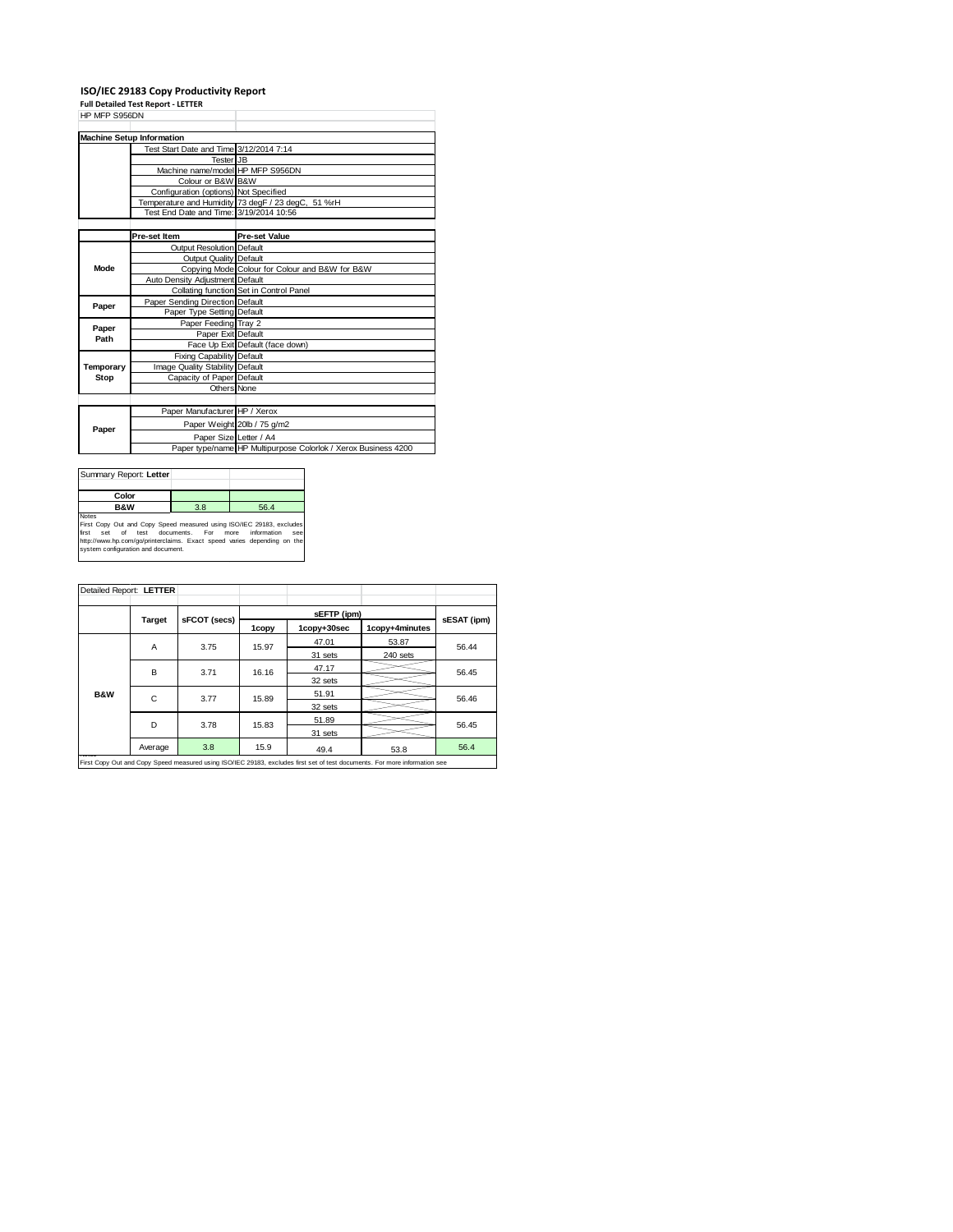## **ISO/IEC 29183 Copy Productivity Report**

**Full Detailed Test Report ‐ LETTER**

| HP MFP S956DN |                                         |                                                                |
|---------------|-----------------------------------------|----------------------------------------------------------------|
|               |                                         |                                                                |
|               | <b>Machine Setup Information</b>        |                                                                |
|               | Test Start Date and Time 3/12/2014 7:14 |                                                                |
|               | Tester JB                               |                                                                |
|               | Machine name/model HP MFP S956DN        |                                                                |
|               | Colour or B&W B&W                       |                                                                |
|               | Configuration (options) Not Specified   |                                                                |
|               |                                         | Temperature and Humidity 73 degF / 23 degC, 51 %rH             |
|               | Test End Date and Time: 3/19/2014 10:56 |                                                                |
|               |                                         |                                                                |
|               | Pre-set Item                            | <b>Pre-set Value</b>                                           |
|               | <b>Output Resolution Default</b>        |                                                                |
|               | Output Quality Default                  |                                                                |
| Mode          |                                         | Copying Mode Colour for Colour and B&W for B&W                 |
|               | Auto Density Adjustment Default         |                                                                |
|               |                                         | Collating function Set in Control Panel                        |
| Paper         | Paper Sending Direction Default         |                                                                |
|               | Paper Type Setting Default              |                                                                |
| Paper         | Paper Feeding Tray 2                    |                                                                |
| Path          | Paper Exit Default                      |                                                                |
|               |                                         | Face Up Exit Default (face down)                               |
|               | <b>Fixing Capability Default</b>        |                                                                |
| Temporary     | Image Quality Stability Default         |                                                                |
| Stop          | Capacity of Paper Default               |                                                                |
|               | <b>Others None</b>                      |                                                                |
|               |                                         |                                                                |
|               | Paper Manufacturer HP / Xerox           |                                                                |
| Paper         |                                         | Paper Weight 20lb / 75 g/m2                                    |
|               | Paper Size Letter / A4                  |                                                                |
|               |                                         | Paper type/name HP Multipurpose Colorlok / Xerox Business 4200 |

| Summary Report: Letter                                               |     |                            |
|----------------------------------------------------------------------|-----|----------------------------|
| Color                                                                |     |                            |
| <b>B&amp;W</b>                                                       | 3.8 | 56.4                       |
| <b>Notes</b>                                                         |     |                            |
| First Copy Out and Copy Speed measured using ISO/IEC 29183, excludes |     |                            |
| first<br>set of test documents. For                                  |     | information<br>more<br>see |
|                                                                      |     |                            |

first set of test documents. For more information see<br>http://www.hp.com/go/printerclaims. Exact speed varies depending on the<br>system configuration and document.

| Detailed Report: LETTER |                                                                                                                            |              |       |             |                |             |
|-------------------------|----------------------------------------------------------------------------------------------------------------------------|--------------|-------|-------------|----------------|-------------|
|                         |                                                                                                                            |              |       |             |                |             |
|                         | <b>Target</b>                                                                                                              | sFCOT (secs) |       | sEFTP (ipm) |                | sESAT (ipm) |
|                         |                                                                                                                            |              | 1copy | 1copy+30sec | 1copy+4minutes |             |
|                         | A                                                                                                                          | 3.75         | 15.97 | 47.01       | 53.87          | 56.44       |
|                         |                                                                                                                            |              |       | 31 sets     | 240 sets       |             |
|                         | B                                                                                                                          | 3.71         | 16.16 | 47.17       |                | 56.45       |
|                         |                                                                                                                            |              |       | 32 sets     |                |             |
| <b>B&amp;W</b>          | C                                                                                                                          | 3.77         | 15.89 | 51.91       |                | 56.46       |
|                         |                                                                                                                            |              |       | 32 sets     |                |             |
|                         | D                                                                                                                          |              | 15.83 | 51.89       |                | 56.45       |
|                         | 3.78                                                                                                                       |              |       | 31 sets     |                |             |
|                         | Average                                                                                                                    | 3.8          | 15.9  | 49.4        | 53.8           | 56.4        |
|                         | First Copy Out and Copy Speed measured using ISO/IEC 29183, excludes first set of test documents. For more information see |              |       |             |                |             |